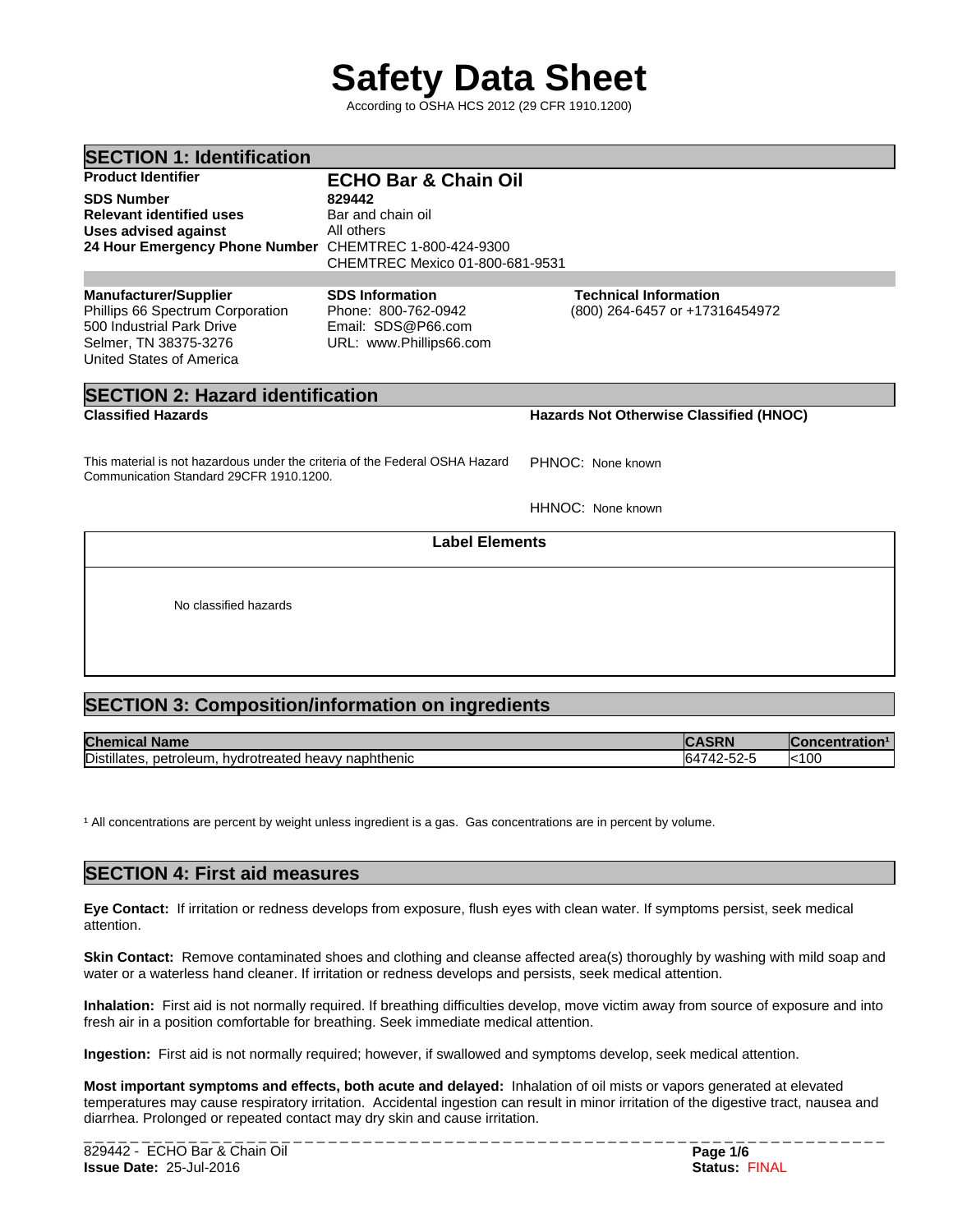# **Safety Data Sheet**

According to OSHA HCS 2012 (29 CFR 1910.1200)

| <b>SECTION 1: Identification</b>                                                                                                                   |                                                                                                |                                                                |  |
|----------------------------------------------------------------------------------------------------------------------------------------------------|------------------------------------------------------------------------------------------------|----------------------------------------------------------------|--|
| <b>Product Identifier</b>                                                                                                                          | <b>ECHO Bar &amp; Chain Oil</b>                                                                |                                                                |  |
| <b>SDS Number</b><br><b>Relevant identified uses</b><br><b>Uses advised against</b><br>24 Hour Emergency Phone Number CHEMTREC 1-800-424-9300      | 829442<br>Bar and chain oil<br>All others<br>CHEMTREC Mexico 01-800-681-9531                   |                                                                |  |
| <b>Manufacturer/Supplier</b><br>Phillips 66 Spectrum Corporation<br>500 Industrial Park Drive<br>Selmer, TN 38375-3276<br>United States of America | <b>SDS Information</b><br>Phone: 800-762-0942<br>Email: SDS@P66.com<br>URL: www.Phillips66.com | <b>Technical Information</b><br>(800) 264-6457 or +17316454972 |  |

# **SECTION 2: Hazard identification**

**Classified Hazards Hazards Not Otherwise Classified (HNOC)**

This material is not hazardous under the criteria of the Federal OSHA Hazard Communication Standard 29CFR 1910.1200. PHNOC: None known

HHNOC: None known

## **Label Elements**

No classified hazards

# **SECTION 3: Composition/information on ingredients**

| <b>Chen</b><br><b>Name</b><br>llud                              | יואכ         | <b>centration</b><br><u> 11.11.11.12</u> |
|-----------------------------------------------------------------|--------------|------------------------------------------|
| Distillates<br>naphthenic<br>netroleum<br>hydrotreated<br>neavv | , , ,<br>-92 | $k$ 100                                  |

<sup>1</sup> All concentrations are percent by weight unless ingredient is a gas. Gas concentrations are in percent by volume.

# **SECTION 4: First aid measures**

**Eye Contact:** Ifirritation or redness develops from exposure, flush eyes with clean water. If symptoms persist, seek medical attention.

**Skin Contact:** Remove contaminated shoes and clothing and cleanse affected area(s) thoroughly by washing with mild soap and water or a waterless hand cleaner. If irritation or redness develops and persists, seek medical attention.

**Inhalation:** First aid is not normally required. If breathing difficulties develop, move victim away from source of exposure and into fresh air in a position comfortable for breathing. Seek immediate medical attention.

**Ingestion:** First aid is not normally required; however, if swallowed and symptoms develop, seek medical attention.

**Most important symptoms and effects, both acute and delayed:** Inhalation of oil mists or vapors generated at elevated temperatures may cause respiratory irritation. Accidental ingestion can result in minor irritation of the digestive tract, nausea and diarrhea. Prolonged or repeated contact may dry skin and cause irritation.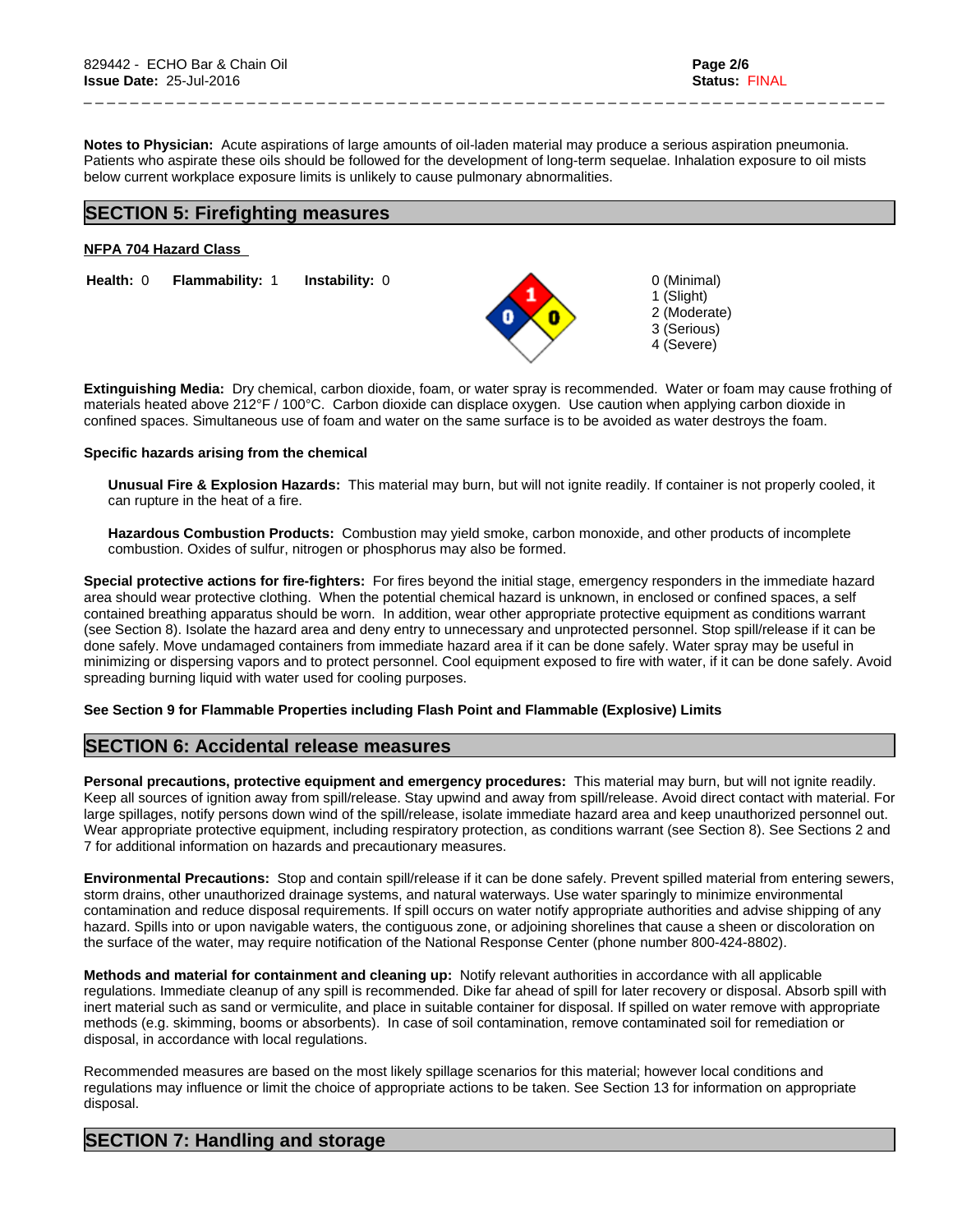**Notes to Physician:**Acute aspirations of large amounts of oil-laden material may produce a serious aspiration pneumonia. Patients who aspirate these oils should be followed for the development of long-term sequelae. Inhalation exposure to oil mists below current workplace exposure limits is unlikely to cause pulmonary abnormalities.

# **SECTION 5: Firefighting measures**

#### **NFPA 704 Hazard Class**

**Health:** 0 **Flammability:** 1 **Instability:** 0 0 (Minimal)

\_ \_ \_ \_ \_ \_ \_ \_ \_ \_ \_ \_ \_ \_ \_ \_ \_ \_ \_ \_ \_ \_ \_ \_ \_ \_ \_ \_ \_ \_ \_ \_ \_ \_ \_ \_ \_ \_ \_ \_ \_ \_ \_ \_ \_ \_ \_ \_ \_ \_ \_ \_ \_ \_ \_ \_ \_ \_ \_ \_ \_ \_ \_ \_ \_ \_ \_ \_ \_

1 (Slight) 2 (Moderate) 3 (Serious) 4 (Severe)

**Extinguishing Media:** Dry chemical, carbon dioxide, foam, or water spray is recommended. Water or foam may cause frothing of materials heated above 212°F / 100°C. Carbon dioxide can displace oxygen. Use caution when applying carbon dioxide in confined spaces. Simultaneous use of foam and water on the same surface is to be avoided as water destroys the foam.

#### **Specific hazards arising from the chemical**

**Unusual Fire & Explosion Hazards:** This material may burn, butwill not ignite readily. If container is not properly cooled, it can rupture in the heat of a fire.

**Hazardous Combustion Products:** Combustion may yield smoke, carbon monoxide, and other products of incomplete combustion. Oxides of sulfur, nitrogen or phosphorus may also be formed.

**Special protective actions for fire-fighters:** For fires beyond the initial stage, emergency responders in the immediate hazard area should wear protective clothing. When the potential chemical hazard is unknown, in enclosed or confined spaces, a self contained breathing apparatus should be worn. In addition, wear other appropriate protective equipment as conditions warrant (see Section 8). Isolate the hazard area and deny entry to unnecessary and unprotected personnel. Stop spill/release if it can be done safely. Move undamaged containers from immediate hazard area if it can be done safely. Water spray may be useful in minimizing or dispersing vapors and to protect personnel. Cool equipment exposed to fire with water, if it can be done safely. Avoid spreading burning liquid with water used for cooling purposes.

#### **See Section 9 for Flammable Properties including Flash Point and Flammable (Explosive) Limits**

## **SECTION 6: Accidental release measures**

**Personal precautions, protective equipment and emergency procedures:** This material may burn, butwill not ignite readily. Keep all sources of ignition away from spill/release. Stay upwind and away from spill/release. Avoid direct contact with material. For large spillages, notify persons down wind of the spill/release, isolate immediate hazard area and keep unauthorized personnel out. Wear appropriate protective equipment, including respiratory protection, as conditions warrant (see Section 8). See Sections 2 and 7 for additional information on hazards and precautionary measures.

**Environmental Precautions:** Stop and contain spill/release if it can be done safely. Prevent spilled material from entering sewers, storm drains, other unauthorized drainage systems, and natural waterways. Use water sparingly to minimize environmental contamination and reduce disposal requirements. If spill occurs on water notify appropriate authorities and advise shipping of any hazard. Spills into or upon navigable waters, the contiguous zone, or adjoining shorelines that cause a sheen or discoloration on the surface of the water, may require notification of the National Response Center (phone number 800-424-8802).

**Methods and material for containment and cleaning up:** Notify relevant authorities in accordance with all applicable regulations. Immediate cleanup of any spill is recommended. Dike far ahead of spill for later recovery or disposal. Absorb spill with inert material such as sand or vermiculite, and place in suitable container for disposal. If spilled on water remove with appropriate methods (e.g. skimming, booms or absorbents). In case of soil contamination, remove contaminated soil for remediation or disposal, in accordance with local regulations.

Recommended measures are based on the most likely spillage scenarios for this material; however local conditions and regulations may influence or limit the choice of appropriate actions to be taken. See Section 13 for information on appropriate disposal.

# **SECTION 7: Handling and storage**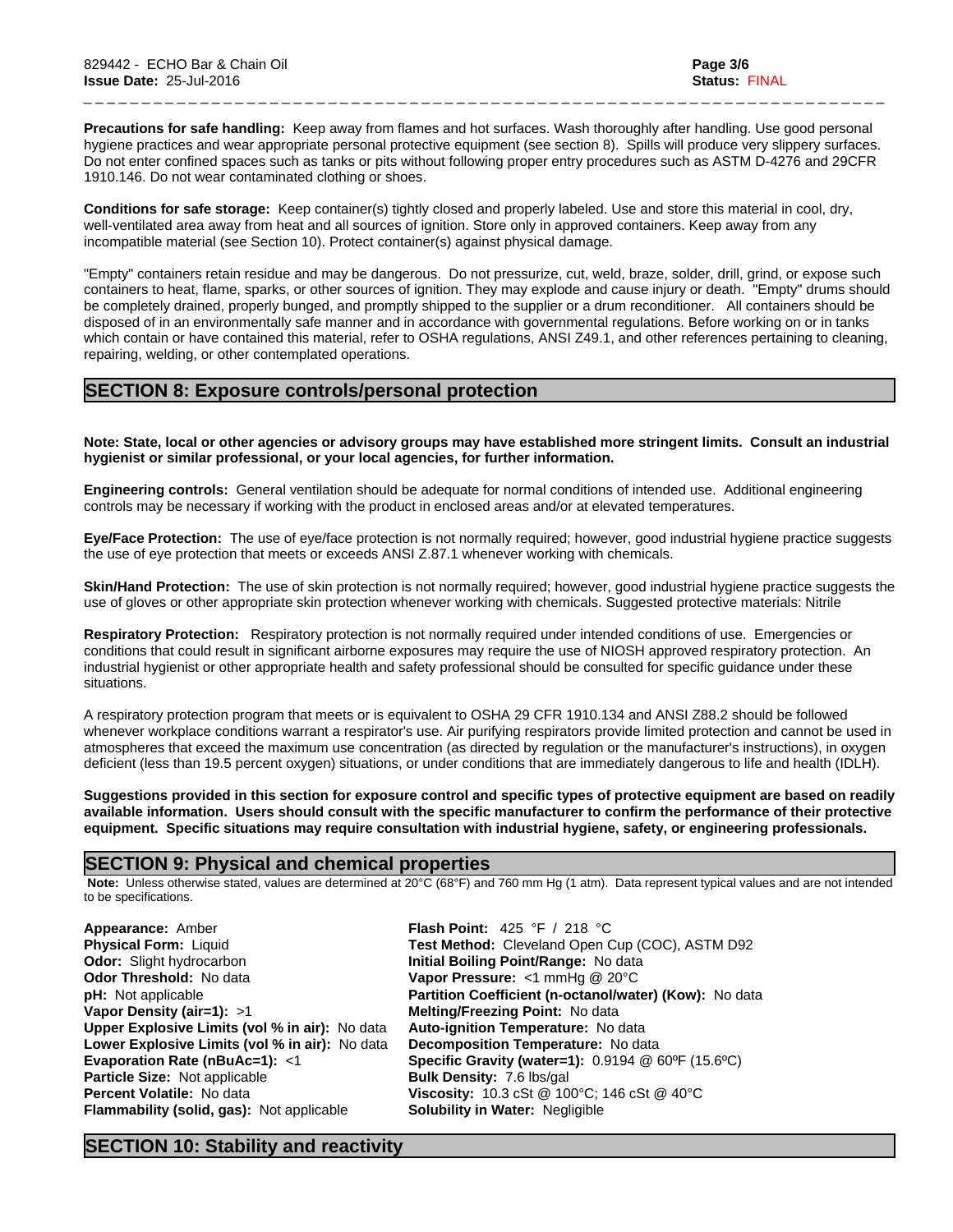**Precautions for safe handling:** Keep away from flames and hot surfaces. Wash thoroughly after handling. Use good personal hygiene practices and wear appropriate personal protective equipment (see section 8). Spills will produce very slippery surfaces. Do not enter confined spaces such as tanks or pits without following proper entry procedures such as ASTM D-4276 and 29CFR 1910.146. Do not wear contaminated clothing or shoes.

\_ \_ \_ \_ \_ \_ \_ \_ \_ \_ \_ \_ \_ \_ \_ \_ \_ \_ \_ \_ \_ \_ \_ \_ \_ \_ \_ \_ \_ \_ \_ \_ \_ \_ \_ \_ \_ \_ \_ \_ \_ \_ \_ \_ \_ \_ \_ \_ \_ \_ \_ \_ \_ \_ \_ \_ \_ \_ \_ \_ \_ \_ \_ \_ \_ \_ \_ \_ \_

**Conditions for safe storage:**Keep container(s) tightly closed and properly labeled. Use and store this material in cool, dry, well-ventilated area away from heat and all sources of ignition. Store only in approved containers. Keep away from any incompatible material (see Section 10). Protect container(s) against physical damage.

"Empty" containers retain residue and may be dangerous. Do not pressurize, cut, weld, braze, solder, drill, grind, or expose such containers to heat, flame, sparks, or other sources of ignition. They may explode and cause injury or death."Empty" drums should be completely drained, properly bunged, and promptly shipped to the supplier or a drum reconditioner. All containers should be disposed of in an environmentally safe manner and in accordance with governmental regulations. Before working on or in tanks which contain or have contained this material, refer to OSHA regulations, ANSI Z49.1, and other references pertaining to cleaning, repairing, welding, or other contemplated operations.

# **SECTION 8: Exposure controls/personal protection**

Note: State, local or other agencies or advisory groups may have established more stringent limits. Consult an industrial **hygienist or similar professional, or your local agencies, for further information.**

**Engineering controls:** General ventilation should be adequate for normal conditions of intended use. Additional engineering controls may be necessary if working with the product in enclosed areas and/or at elevated temperatures.

Eye/Face Protection: The use of eye/face protection is not normally required; however, good industrial hygiene practice suggests the use of eye protection that meets or exceeds ANSI Z.87.1 whenever working with chemicals.

**Skin/Hand Protection:** The use of skin protection is not normally required; however, good industrial hygiene practice suggests the use of gloves or other appropriate skin protection whenever working with chemicals. Suggested protective materials: Nitrile

**Respiratory Protection:** Respiratory protection is not normally required under intended conditions of use. Emergencies or conditions that could result in significant airborne exposures may require the use of NIOSH approved respiratory protection. An industrial hygienist or other appropriate health and safety professional should be consulted for specific guidance under these situations.

A respiratory protection program that meets or is equivalent to OSHA 29 CFR 1910.134 and ANSI Z88.2 should be followed whenever workplace conditions warrant a respirator's use. Air purifying respirators provide limited protection and cannot be used in atmospheres that exceed the maximum use concentration (as directed by regulation or the manufacturer's instructions), in oxygen deficient (less than 19.5 percent oxygen) situations, or under conditions that are immediately dangerous to life and health (IDLH).

Suggestions provided in this section for exposure control and specific types of protective equipment are based on readily available information. Users should consult with the specific manufacturer to confirm the performance of their protective **equipment. Specific situations may require consultation with industrial hygiene, safety, or engineering professionals.**

## **SECTION 9: Physical and chemical properties**

 **Note:** Unless otherwise stated, values are determined at 20°C (68°F) and 760 mm Hg (1 atm). Data represent typical values and are not intended to be specifications.

| Appearance: Amber                              | <b>Flash Point:</b> 425 °F / 218 °C                                        |
|------------------------------------------------|----------------------------------------------------------------------------|
| <b>Physical Form: Liquid</b>                   | Test Method: Cleveland Open Cup (COC), ASTM D92                            |
| <b>Odor:</b> Slight hydrocarbon                | Initial Boiling Point/Range: No data                                       |
| <b>Odor Threshold: No data</b>                 | Vapor Pressure: $<$ 1 mmHg @ 20 $^{\circ}$ C                               |
| <b>pH:</b> Not applicable                      | Partition Coefficient (n-octanol/water) (Kow): No data                     |
| Vapor Density (air=1): $>1$                    | Melting/Freezing Point: No data                                            |
| Upper Explosive Limits (vol % in air): No data | Auto-ignition Temperature: No data                                         |
| Lower Explosive Limits (vol % in air): No data | Decomposition Temperature: No data                                         |
| Evaporation Rate (nBuAc=1): <1                 | <b>Specific Gravity (water=1):</b> $0.9194 \& 60^{\circ}F (15.6^{\circ}C)$ |
| <b>Particle Size: Not applicable</b>           | <b>Bulk Density: 7.6 lbs/gal</b>                                           |
| <b>Percent Volatile: No data</b>               | Viscosity: 10.3 cSt @ 100°C; 146 cSt @ 40°C                                |
| Flammability (solid, gas): Not applicable      | <b>Solubility in Water: Negligible</b>                                     |

# **SECTION 10: Stability and reactivity**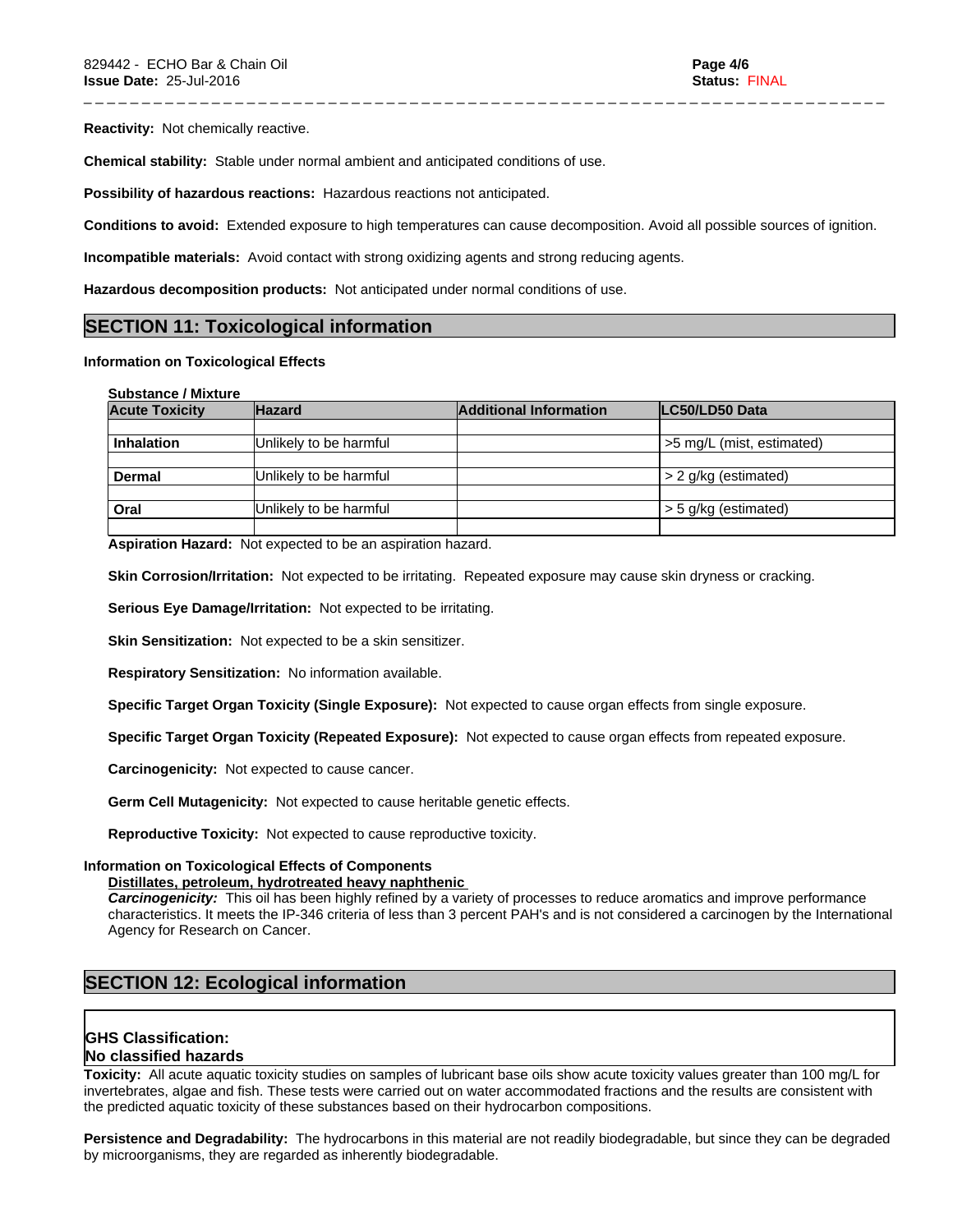**Reactivity:** Not chemically reactive.

**Chemical stability:** Stable under normal ambient and anticipated conditions of use.

**Possibility of hazardous reactions:** Hazardous reactions not anticipated.

**Conditions to avoid:** Extended exposure to high temperatures can cause decomposition. Avoid all possible sources of ignition.

\_ \_ \_ \_ \_ \_ \_ \_ \_ \_ \_ \_ \_ \_ \_ \_ \_ \_ \_ \_ \_ \_ \_ \_ \_ \_ \_ \_ \_ \_ \_ \_ \_ \_ \_ \_ \_ \_ \_ \_ \_ \_ \_ \_ \_ \_ \_ \_ \_ \_ \_ \_ \_ \_ \_ \_ \_ \_ \_ \_ \_ \_ \_ \_ \_ \_ \_ \_ \_

**Incompatible materials:** Avoid contact with strong oxidizing agents and strong reducing agents.

**Hazardous decomposition products:** Not anticipated under normal conditions of use.

# **SECTION 11: Toxicological information**

# **Information on Toxicological Effects**

| <b>Substance / Mixture</b> |
|----------------------------|
|----------------------------|

| <b>Acute Toxicity</b> | <b>Hazard</b>          | <b>Additional Information</b> | LC50/LD50 Data            |
|-----------------------|------------------------|-------------------------------|---------------------------|
|                       |                        |                               |                           |
| <b>Inhalation</b>     | Unlikely to be harmful |                               | >5 mg/L (mist, estimated) |
|                       |                        |                               |                           |
| Dermal                | Unlikely to be harmful |                               | $> 2$ g/kg (estimated)    |
|                       |                        |                               |                           |
| Oral                  | Unlikely to be harmful |                               | > 5 g/kg (estimated)      |
|                       |                        |                               |                           |

**Aspiration Hazard:** Not expected to be an aspiration hazard.

**Skin Corrosion/Irritation:** Not expected to be irritating. Repeated exposure may cause skin dryness or cracking.

**Serious Eye Damage/Irritation:** Not expected to be irritating.

**Skin Sensitization:** Not expected to be a skin sensitizer.

**Respiratory Sensitization:** No information available.

**Specific Target Organ Toxicity (Single Exposure):** Not expected to cause organ effects from single exposure.

**Specific Target Organ Toxicity (Repeated Exposure):** Not expected to cause organ effects from repeated exposure.

**Carcinogenicity:** Not expected to cause cancer.

**Germ Cell Mutagenicity:** Not expected to cause heritable genetic effects.

**Reproductive Toxicity:** Not expected to cause reproductive toxicity.

# **Information on Toxicological Effects of Components**

## **Distillates, petroleum, hydrotreated heavy naphthenic**

*Carcinogenicity:* This oil has been highly refined by a variety of processes to reduce aromatics and improve performance characteristics. It meets the IP-346 criteria of less than 3 percent PAH's and isnot considered a carcinogen by the International Agency for Research on Cancer.

# **SECTION 12: Ecological information**

# **GHS Classification:**

# **No classified hazards**

**Toxicity:** All acute aquatic toxicity studies on samples of lubricant base oils show acute toxicity values greater than 100 mg/L for invertebrates, algae and fish. These tests were carried out on water accommodated fractions and the results are consistent with the predicted aquatic toxicity of these substances based on their hydrocarbon compositions.

**Persistence and Degradability:** The hydrocarbons in this material are not readily biodegradable, but since they can be degraded by microorganisms, they are regarded as inherently biodegradable.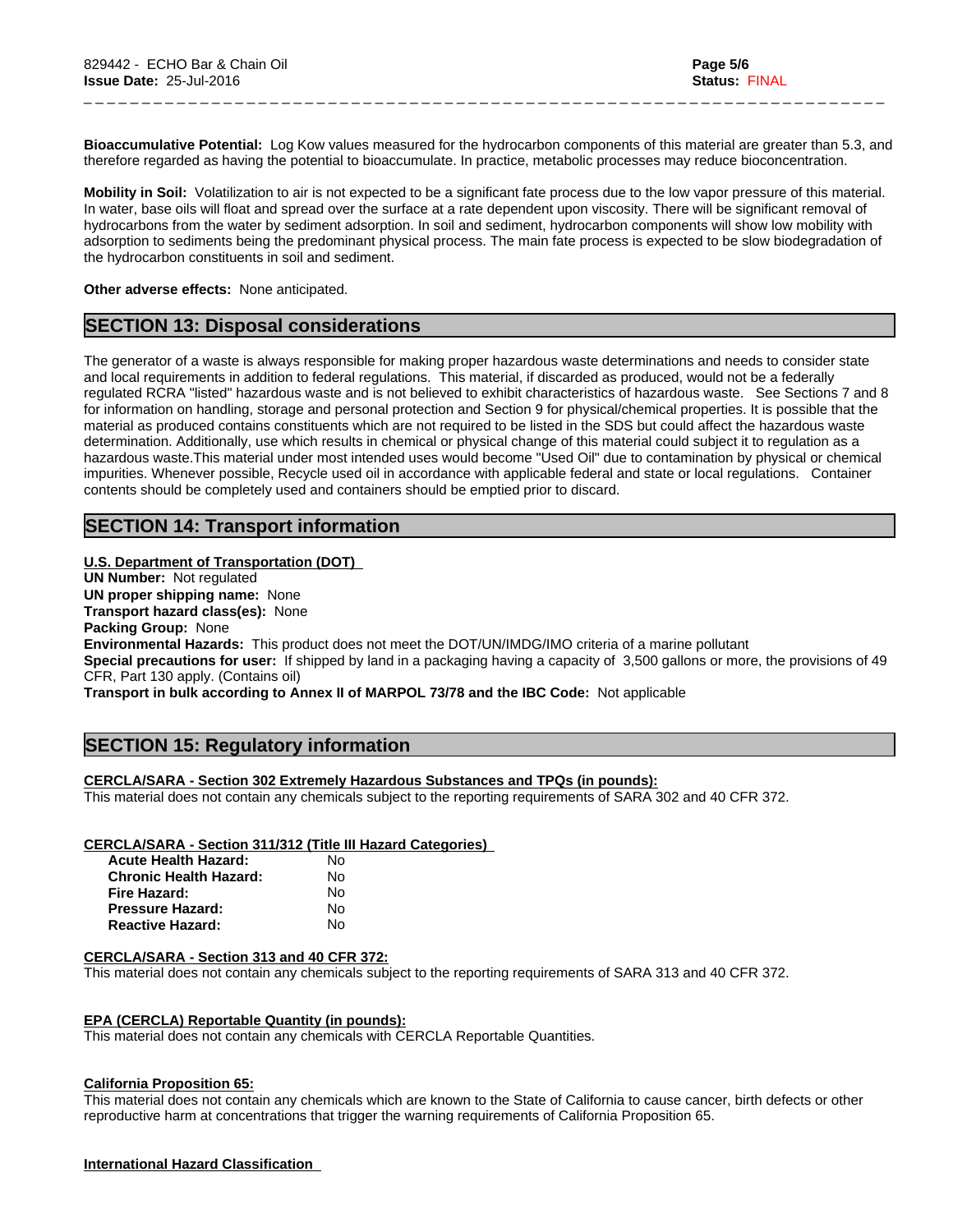**Bioaccumulative Potential:** Log Kow values measured for the hydrocarbon components of this material are greater than 5.3, and therefore regarded as having the potential to bioaccumulate. In practice, metabolic processes may reduce bioconcentration.

\_ \_ \_ \_ \_ \_ \_ \_ \_ \_ \_ \_ \_ \_ \_ \_ \_ \_ \_ \_ \_ \_ \_ \_ \_ \_ \_ \_ \_ \_ \_ \_ \_ \_ \_ \_ \_ \_ \_ \_ \_ \_ \_ \_ \_ \_ \_ \_ \_ \_ \_ \_ \_ \_ \_ \_ \_ \_ \_ \_ \_ \_ \_ \_ \_ \_ \_ \_ \_

**Mobility in Soil:** Volatilization to air is not expected to be a significant fate process due to the low vapor pressure of this material. In water, base oils will float and spread over the surface at a rate dependent upon viscosity. There will be significant removal of hydrocarbons from the water by sediment adsorption. In soil and sediment, hydrocarbon components will show low mobility with adsorption to sediments being the predominant physical process. The main fate process is expected to be slow biodegradation of the hydrocarbon constituents in soil and sediment.

**Other adverse effects:** None anticipated.

# **SECTION 13: Disposal considerations**

The generator of a waste is always responsible for making proper hazardous waste determinations and needs to consider state and local requirements in addition to federal regulations. This material, if discarded as produced, would not be a federally regulated RCRA "listed" hazardous waste and is not believed to exhibit characteristics of hazardous waste. See Sections 7 and 8 for information on handling, storage and personal protection and Section 9 for physical/chemical properties. It is possible that the material as produced contains constituents which are not required to be listed in the SDS but could affect the hazardous waste determination. Additionally, use which results in chemical or physical change of this material could subject it to regulation as a hazardous waste.This material under most intended uses would become "Used Oil" due to contamination by physical or chemical impurities. Whenever possible, Recycle used oil in accordance with applicable federal and state or local regulations. Container contents should be completely used and containers should be emptied prior to discard.

# **SECTION 14: Transport information**

#### **U.S. Department of Transportation (DOT)**

**UN Number:** Not regulated **UN proper shipping name:** None **Transport hazard class(es):** None **Packing Group:** None **Environmental Hazards:** This product does not meet the DOT/UN/IMDG/IMO criteria of a marine pollutant **Special precautions for user:** If shipped by land in a packaging having a capacity of 3,500 gallons or more, the provisions of 49 CFR, Part 130 apply. (Contains oil)

**Transport in bulk according to Annex II of MARPOL 73/78 and the IBC Code:** Not applicable

# **SECTION 15: Regulatory information**

#### **CERCLA/SARA - Section 302 Extremely Hazardous Substances and TPQs (in pounds):**

This material does not contain any chemicals subject to the reporting requirements of SARA 302 and 40 CFR 372.

#### **CERCLA/SARA - Section 311/312 (Title III Hazard Categories)**

| <b>Acute Health Hazard:</b>   | N٥ |
|-------------------------------|----|
| <b>Chronic Health Hazard:</b> | N٥ |
| Fire Hazard:                  | N٥ |
| <b>Pressure Hazard:</b>       | N٥ |
| <b>Reactive Hazard:</b>       | N٥ |

#### **CERCLA/SARA - Section 313 and 40 CFR 372:**

This material does not contain any chemicals subject to the reporting requirements of SARA 313 and 40 CFR 372.

#### **EPA (CERCLA) Reportable Quantity (in pounds):**

This material does not contain any chemicals with CERCLA Reportable Quantities.

#### **California Proposition 65:**

This material does not contain any chemicals which are known to the State of California to cause cancer, birth defects or other reproductive harm at concentrations that trigger the warning requirements of California Proposition 65.

#### **International Hazard Classification**